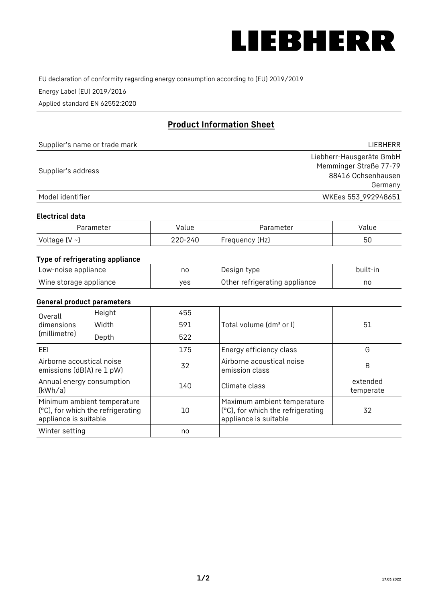

EU declaration of conformity regarding energy consumption according to (EU) 2019/2019

Energy Label (EU) 2019/2016

Applied standard EN 62552:2020

# **Product Information Sheet**

| Supplier's name or trade mark | LIEBHERR                 |
|-------------------------------|--------------------------|
|                               | Liebherr-Hausgeräte GmbH |
| Supplier's address            | Memminger Straße 77-79   |
|                               | 88416 Ochsenhausen       |
|                               | Germany                  |
| Model identifier              | WKEes 553_992948651      |

#### **Electrical data**

| Parameter          | Value   | Parameter      | value |
|--------------------|---------|----------------|-------|
| Voltage $(V \sim)$ | 220-240 | Frequency (Hz) | 50    |

## **Type of refrigerating appliance**

| Low-noise appliance    | no  | Design type                   | built-in |
|------------------------|-----|-------------------------------|----------|
| Wine storage appliance | ves | Other refrigerating appliance | nc       |

#### **General product parameters**

| Height<br>Overall<br>dimensions<br>Width<br>(millimetre)<br>Depth                         | 455 |     |                                                                                           |                       |
|-------------------------------------------------------------------------------------------|-----|-----|-------------------------------------------------------------------------------------------|-----------------------|
|                                                                                           |     | 591 | Total volume (dm <sup>3</sup> or l)                                                       | 51                    |
|                                                                                           |     | 522 |                                                                                           |                       |
| EEL                                                                                       |     | 175 | Energy efficiency class                                                                   | G                     |
| Airborne acoustical noise<br>emissions (dB(A) re 1 pW)                                    |     | 32  | Airborne acoustical noise<br>emission class                                               | B                     |
| Annual energy consumption<br>(kWh/a)                                                      |     | 140 | Climate class                                                                             | extended<br>temperate |
| Minimum ambient temperature<br>(°C), for which the refrigerating<br>appliance is suitable |     | 10  | Maximum ambient temperature<br>(°C), for which the refrigerating<br>appliance is suitable | 32                    |
| Winter setting                                                                            |     | no  |                                                                                           |                       |